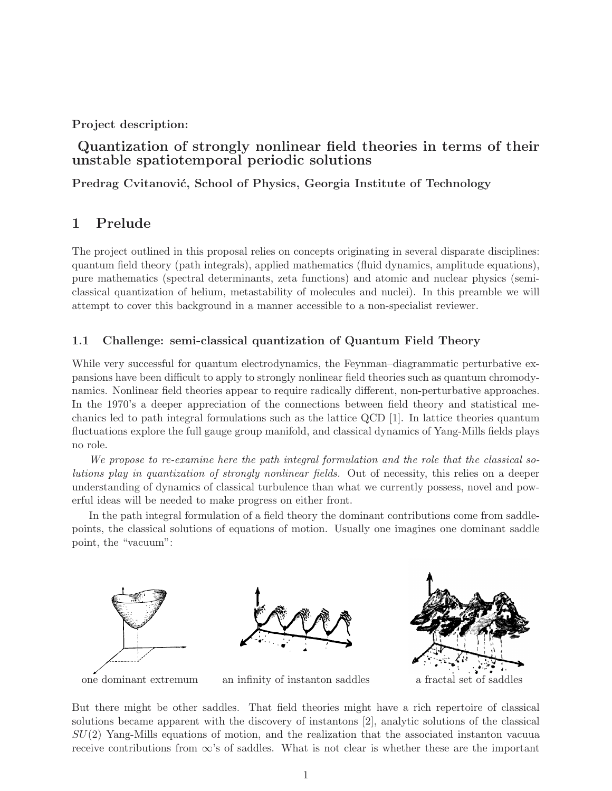### **Project description:**

# **Quantization of strongly nonlinear field theories in terms of their unstable spatiotemporal periodic solutions**

**Predrag Cvitanović, School of Physics, Georgia Institute of Technology** 

# **1 Prelude**

The project outlined in this proposal relies on concepts originating in several disparate disciplines: quantum field theory (path integrals), applied mathematics (fluid dynamics, amplitude equations), pure mathematics (spectral determinants, zeta functions) and atomic and nuclear physics (semiclassical quantization of helium, metastability of molecules and nuclei). In this preamble we will attempt to cover this background in a manner accessible to a non-specialist reviewer.

### **1.1 Challenge: semi-classical quantization of Quantum Field Theory**

While very successful for quantum electrodynamics, the Feynman–diagrammatic perturbative expansions have been difficult to apply to strongly nonlinear field theories such as quantum chromodynamics. Nonlinear field theories appear to require radically different, non-perturbative approaches. In the 1970's a deeper appreciation of the connections between field theory and statistical mechanics led to path integral formulations such as the lattice QCD [1]. In lattice theories quantum fluctuations explore the full gauge group manifold, and classical dynamics of Yang-Mills fields plays no role.

*We propose to re-examine here the path integral formulation and the role that the classical solutions play in quantization of strongly nonlinear fields.* Out of necessity, this relies on a deeper understanding of dynamics of classical turbulence than what we currently possess, novel and powerful ideas will be needed to make progress on either front.

In the path integral formulation of a field theory the dominant contributions come from saddlepoints, the classical solutions of equations of motion. Usually one imagines one dominant saddle point, the "vacuum":



one dominant extremum an infinity of instanton saddles a fractal set of saddles

But there might be other saddles. That field theories might have a rich repertoire of classical solutions became apparent with the discovery of instantons [2], analytic solutions of the classical  $SU(2)$  Yang-Mills equations of motion, and the realization that the associated instanton vacuua receive contributions from  $\infty$ 's of saddles. What is not clear is whether these are the important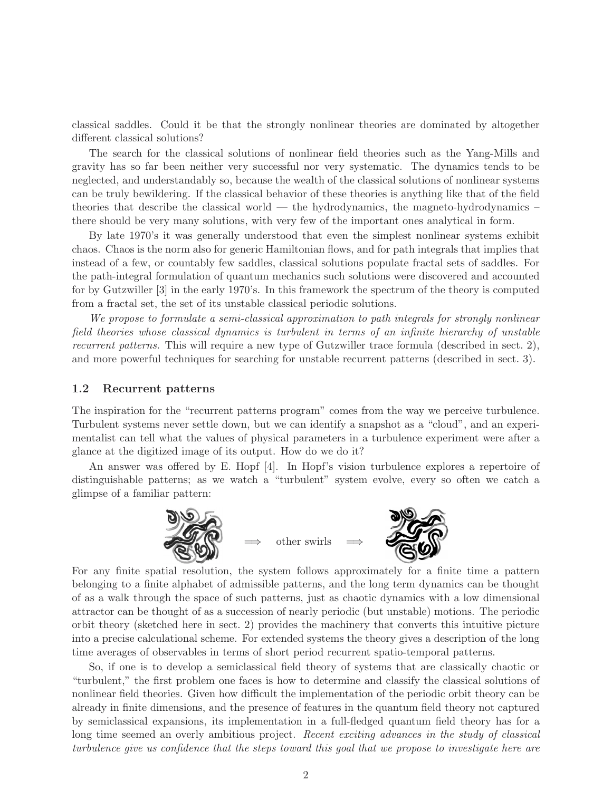classical saddles. Could it be that the strongly nonlinear theories are dominated by altogether different classical solutions?

The search for the classical solutions of nonlinear field theories such as the Yang-Mills and gravity has so far been neither very successful nor very systematic. The dynamics tends to be neglected, and understandably so, because the wealth of the classical solutions of nonlinear systems can be truly bewildering. If the classical behavior of these theories is anything like that of the field theories that describe the classical world — the hydrodynamics, the magneto-hydrodynamics – there should be very many solutions, with very few of the important ones analytical in form.

By late 1970's it was generally understood that even the simplest nonlinear systems exhibit chaos. Chaos is the norm also for generic Hamiltonian flows, and for path integrals that implies that instead of a few, or countably few saddles, classical solutions populate fractal sets of saddles. For the path-integral formulation of quantum mechanics such solutions were discovered and accounted for by Gutzwiller [3] in the early 1970's. In this framework the spectrum of the theory is computed from a fractal set, the set of its unstable classical periodic solutions.

*We propose to formulate a semi-classical approximation to path integrals for strongly nonlinear field theories whose classical dynamics is turbulent in terms of an infinite hierarchy of unstable recurrent patterns.* This will require a new type of Gutzwiller trace formula (described in sect. 2), and more powerful techniques for searching for unstable recurrent patterns (described in sect. 3).

#### **1.2 Recurrent patterns**

The inspiration for the "recurrent patterns program" comes from the way we perceive turbulence. Turbulent systems never settle down, but we can identify a snapshot as a "cloud", and an experimentalist can tell what the values of physical parameters in a turbulence experiment were after a glance at the digitized image of its output. How do we do it?

An answer was offered by E. Hopf [4]. In Hopf's vision turbulence explores a repertoire of distinguishable patterns; as we watch a "turbulent" system evolve, every so often we catch a glimpse of a familiar pattern:



other swirls



For any finite spatial resolution, the system follows approximately for a finite time a pattern belonging to a finite alphabet of admissible patterns, and the long term dynamics can be thought of as a walk through the space of such patterns, just as chaotic dynamics with a low dimensional attractor can be thought of as a succession of nearly periodic (but unstable) motions. The periodic orbit theory (sketched here in sect. 2) provides the machinery that converts this intuitive picture into a precise calculational scheme. For extended systems the theory gives a description of the long time averages of observables in terms of short period recurrent spatio-temporal patterns.

So, if one is to develop a semiclassical field theory of systems that are classically chaotic or "turbulent," the first problem one faces is how to determine and classify the classical solutions of nonlinear field theories. Given how difficult the implementation of the periodic orbit theory can be already in finite dimensions, and the presence of features in the quantum field theory not captured by semiclassical expansions, its implementation in a full-fledged quantum field theory has for a long time seemed an overly ambitious project. *Recent exciting advances in the study of classical turbulence give us confidence that the steps toward this goal that we propose to investigate here are*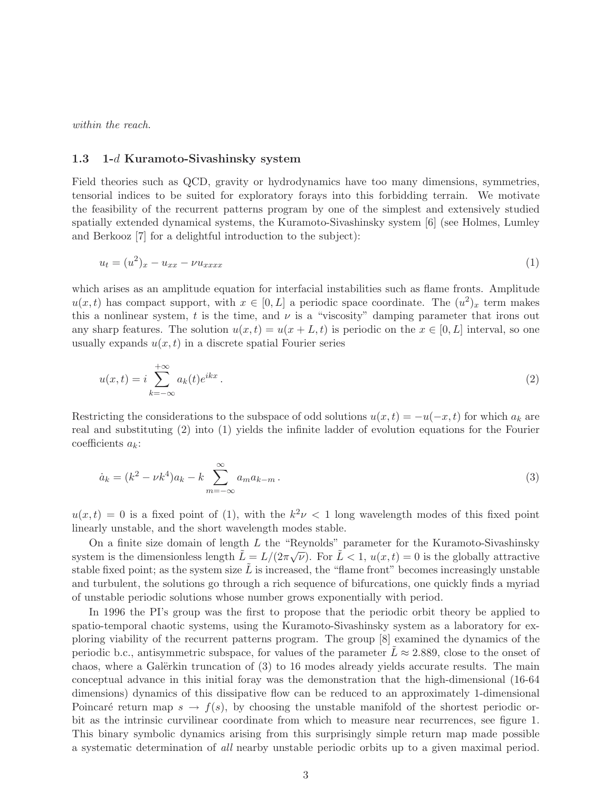*within the reach*.

#### **1.3 1-***d* **Kuramoto-Sivashinsky system**

Field theories such as QCD, gravity or hydrodynamics have too many dimensions, symmetries, tensorial indices to be suited for exploratory forays into this forbidding terrain. We motivate the feasibility of the recurrent patterns program by one of the simplest and extensively studied spatially extended dynamical systems, the Kuramoto-Sivashinsky system [6] (see Holmes, Lumley and Berkooz [7] for a delightful introduction to the subject):

$$
u_t = (u^2)_x - u_{xx} - \nu u_{xxxx} \tag{1}
$$

which arises as an amplitude equation for interfacial instabilities such as flame fronts. Amplitude  $u(x, t)$  has compact support, with  $x \in [0, L]$  a periodic space coordinate. The  $(u^2)_x$  term makes this a nonlinear system, t is the time, and  $\nu$  is a "viscosity" damping parameter that irons out any sharp features. The solution  $u(x, t) = u(x + L, t)$  is periodic on the  $x \in [0, L]$  interval, so one usually expands  $u(x, t)$  in a discrete spatial Fourier series

$$
u(x,t) = i \sum_{k=-\infty}^{+\infty} a_k(t) e^{ikx} . \tag{2}
$$

Restricting the considerations to the subspace of odd solutions  $u(x,t) = -u(-x,t)$  for which  $a_k$  are real and substituting (2) into (1) yields the infinite ladder of evolution equations for the Fourier coefficients  $a_k$ :

$$
\dot{a}_k = (k^2 - \nu k^4) a_k - k \sum_{m = -\infty}^{\infty} a_m a_{k-m} \,. \tag{3}
$$

 $u(x,t) = 0$  is a fixed point of (1), with the  $k^2 \nu < 1$  long wavelength modes of this fixed point linearly unstable, and the short wavelength modes stable.

On a finite size domain of length  $L$  the "Reynolds" parameter for the Kuramoto-Sivashinsky system is the dimensionless length  $\tilde{L} = L/(2\pi\sqrt{\nu})$ . For  $\tilde{L} < 1$ ,  $u(x, t) = 0$  is the globally attractive stable fixed point; as the system size  $\tilde{L}$  is increased, the "flame front" becomes increasingly unstable and turbulent, the solutions go through a rich sequence of bifurcations, one quickly finds a myriad of unstable periodic solutions whose number grows exponentially with period.

In 1996 the PI's group was the first to propose that the periodic orbit theory be applied to spatio-temporal chaotic systems, using the Kuramoto-Sivashinsky system as a laboratory for exploring viability of the recurrent patterns program. The group [8] examined the dynamics of the periodic b.c., antisymmetric subspace, for values of the parameter  $L \approx 2.889$ , close to the onset of chaos, where a Galërkin truncation of  $(3)$  to 16 modes already yields accurate results. The main conceptual advance in this initial foray was the demonstration that the high-dimensional (16-64 dimensions) dynamics of this dissipative flow can be reduced to an approximately 1-dimensional Poincaré return map  $s \to f(s)$ , by choosing the unstable manifold of the shortest periodic orbit as the intrinsic curvilinear coordinate from which to measure near recurrences, see figure 1. This binary symbolic dynamics arising from this surprisingly simple return map made possible a systematic determination of *all* nearby unstable periodic orbits up to a given maximal period.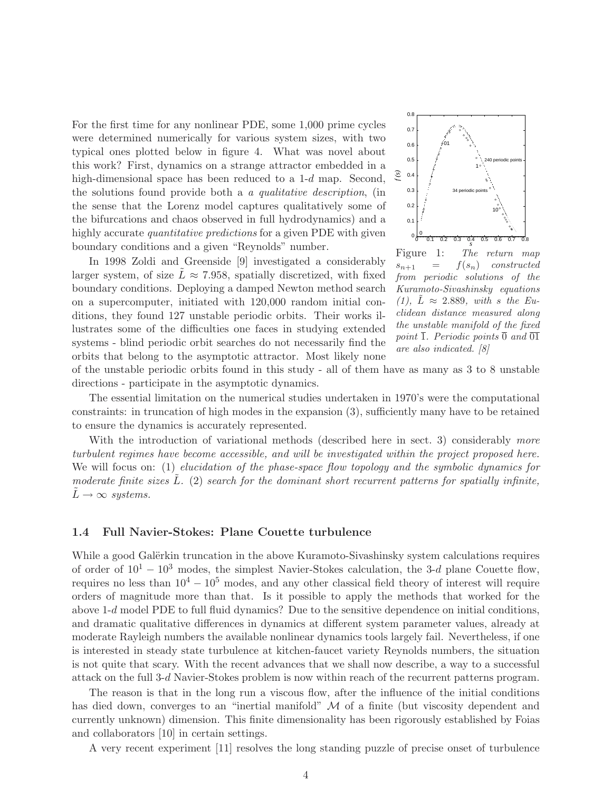For the first time for any nonlinear PDE, some 1,000 prime cycles were determined numerically for various system sizes, with two typical ones plotted below in figure 4. What was novel about this work? First, dynamics on a strange attractor embedded in a high-dimensional space has been reduced to a 1-d map. Second, the solutions found provide both a *a qualitative description*, (in the sense that the Lorenz model captures qualitatively some of the bifurcations and chaos observed in full hydrodynamics) and a highly accurate *quantitative predictions* for a given PDE with given boundary conditions and a given "Reynolds" number.

In 1998 Zoldi and Greenside [9] investigated a considerably larger system, of size  $L \approx 7.958$ , spatially discretized, with fixed boundary conditions. Deploying a damped Newton method search on a supercomputer, initiated with 120,000 random initial conditions, they found 127 unstable periodic orbits. Their works illustrates some of the difficulties one faces in studying extended systems - blind periodic orbit searches do not necessarily find the orbits that belong to the asymptotic attractor. Most likely none



Figure 1: *The return map*  $s_{n+1} = f(s_n)$  *constructed from periodic solutions of the Kuramoto-Sivashinsky equations*  $(1)$ ,  $L \approx 2.889$ , with s the Eu*clidean distance measured along the unstable manifold of the fixed point*  $\overline{1}$ *. Periodic points*  $\overline{0}$  *and*  $\overline{01}$ *are also indicated. [8]*

of the unstable periodic orbits found in this study - all of them have as many as 3 to 8 unstable directions - participate in the asymptotic dynamics.

The essential limitation on the numerical studies undertaken in 1970's were the computational constraints: in truncation of high modes in the expansion (3), sufficiently many have to be retained to ensure the dynamics is accurately represented.

With the introduction of variational methods (described here in sect. 3) considerably *more turbulent regimes have become accessible, and will be investigated within the project proposed here.* We will focus on: (1) *elucidation of the phase-space flow topology and the symbolic dynamics for moderate finite sizes*  $\tilde{L}$ *.* (2) *search for the dominant short recurrent patterns for spatially infinite,*  $L \rightarrow \infty$  *systems.* 

#### **1.4 Full Navier-Stokes: Plane Couette turbulence**

While a good Galërkin truncation in the above Kuramoto-Sivashinsky system calculations requires of order of  $10^1 - 10^3$  modes, the simplest Navier-Stokes calculation, the 3-d plane Couette flow, requires no less than  $10^4 - 10^5$  modes, and any other classical field theory of interest will require orders of magnitude more than that. Is it possible to apply the methods that worked for the above 1-d model PDE to full fluid dynamics? Due to the sensitive dependence on initial conditions, and dramatic qualitative differences in dynamics at different system parameter values, already at moderate Rayleigh numbers the available nonlinear dynamics tools largely fail. Nevertheless, if one is interested in steady state turbulence at kitchen-faucet variety Reynolds numbers, the situation is not quite that scary. With the recent advances that we shall now describe, a way to a successful attack on the full 3-d Navier-Stokes problem is now within reach of the recurrent patterns program.

The reason is that in the long run a viscous flow, after the influence of the initial conditions has died down, converges to an "inertial manifold"  $\mathcal M$  of a finite (but viscosity dependent and currently unknown) dimension. This finite dimensionality has been rigorously established by Foias and collaborators [10] in certain settings.

A very recent experiment [11] resolves the long standing puzzle of precise onset of turbulence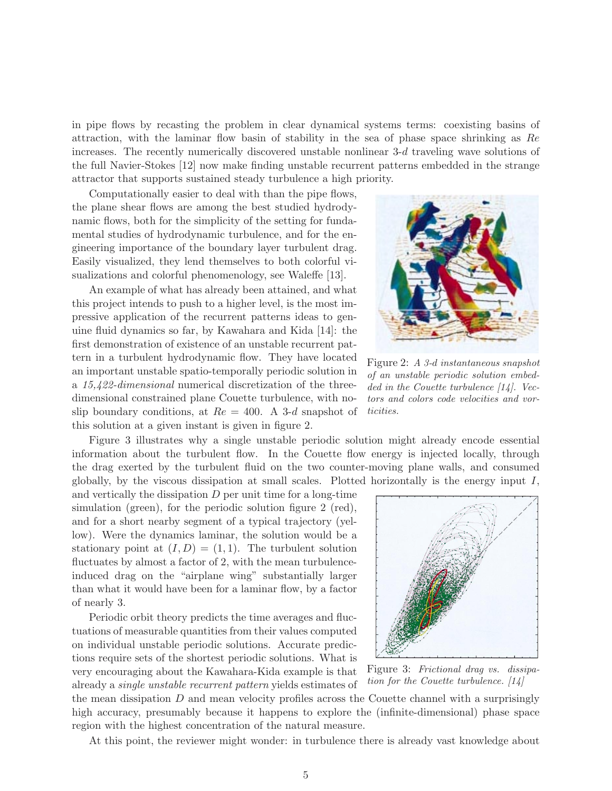in pipe flows by recasting the problem in clear dynamical systems terms: coexisting basins of attraction, with the laminar flow basin of stability in the sea of phase space shrinking as Re increases. The recently numerically discovered unstable nonlinear 3-d traveling wave solutions of the full Navier-Stokes [12] now make finding unstable recurrent patterns embedded in the strange attractor that supports sustained steady turbulence a high priority.

Computationally easier to deal with than the pipe flows, the plane shear flows are among the best studied hydrodynamic flows, both for the simplicity of the setting for fundamental studies of hydrodynamic turbulence, and for the engineering importance of the boundary layer turbulent drag. Easily visualized, they lend themselves to both colorful visualizations and colorful phenomenology, see Waleffe [13].

An example of what has already been attained, and what this project intends to push to a higher level, is the most impressive application of the recurrent patterns ideas to genuine fluid dynamics so far, by Kawahara and Kida [14]: the first demonstration of existence of an unstable recurrent pattern in a turbulent hydrodynamic flow. They have located an important unstable spatio-temporally periodic solution in a *15,422-dimensional* numerical discretization of the threedimensional constrained plane Couette turbulence, with noslip boundary conditions, at  $Re = 400$ . A 3-d snapshot of this solution at a given instant is given in figure 2.



Figure 2: *A 3-*d *instantaneous snapshot of an unstable periodic solution embedded in the Couette turbulence [14]. Vectors and colors code velocities and vorticities.*

Figure 3 illustrates why a single unstable periodic solution might already encode essential information about the turbulent flow. In the Couette flow energy is injected locally, through the drag exerted by the turbulent fluid on the two counter-moving plane walls, and consumed globally, by the viscous dissipation at small scales. Plotted horizontally is the energy input  $I$ ,

and vertically the dissipation  $D$  per unit time for a long-time simulation (green), for the periodic solution figure 2 (red), and for a short nearby segment of a typical trajectory (yellow). Were the dynamics laminar, the solution would be a stationary point at  $(I, D) = (1, 1)$ . The turbulent solution fluctuates by almost a factor of 2, with the mean turbulenceinduced drag on the "airplane wing" substantially larger than what it would have been for a laminar flow, by a factor of nearly 3.

Periodic orbit theory predicts the time averages and fluctuations of measurable quantities from their values computed on individual unstable periodic solutions. Accurate predictions require sets of the shortest periodic solutions. What is

very encouraging about the Kawahara-Kida example is that already a *single unstable recurrent pattern* yields estimates of



Figure 3: *Frictional drag vs. dissipation for the Couette turbulence. [14]*

the mean dissipation  $D$  and mean velocity profiles across the Couette channel with a surprisingly high accuracy, presumably because it happens to explore the (infinite-dimensional) phase space region with the highest concentration of the natural measure.

At this point, the reviewer might wonder: in turbulence there is already vast knowledge about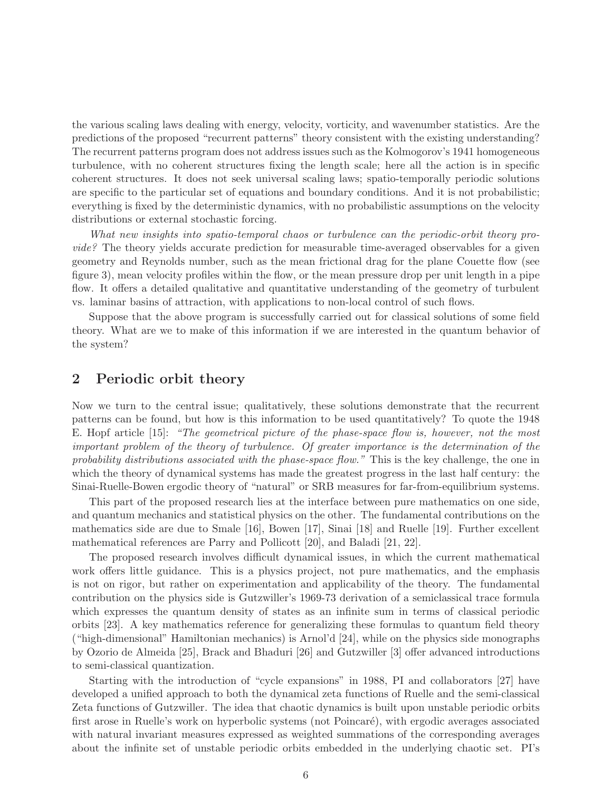the various scaling laws dealing with energy, velocity, vorticity, and wavenumber statistics. Are the predictions of the proposed "recurrent patterns" theory consistent with the existing understanding? The recurrent patterns program does not address issues such as the Kolmogorov's 1941 homogeneous turbulence, with no coherent structures fixing the length scale; here all the action is in specific coherent structures. It does not seek universal scaling laws; spatio-temporally periodic solutions are specific to the particular set of equations and boundary conditions. And it is not probabilistic; everything is fixed by the deterministic dynamics, with no probabilistic assumptions on the velocity distributions or external stochastic forcing.

*What new insights into spatio-temporal chaos or turbulence can the periodic-orbit theory provide?* The theory yields accurate prediction for measurable time-averaged observables for a given geometry and Reynolds number, such as the mean frictional drag for the plane Couette flow (see figure 3), mean velocity profiles within the flow, or the mean pressure drop per unit length in a pipe flow. It offers a detailed qualitative and quantitative understanding of the geometry of turbulent vs. laminar basins of attraction, with applications to non-local control of such flows.

Suppose that the above program is successfully carried out for classical solutions of some field theory. What are we to make of this information if we are interested in the quantum behavior of the system?

# **2 Periodic orbit theory**

Now we turn to the central issue; qualitatively, these solutions demonstrate that the recurrent patterns can be found, but how is this information to be used quantitatively? To quote the 1948 E. Hopf article [15]: *"The geometrical picture of the phase-space flow is, however, not the most important problem of the theory of turbulence. Of greater importance is the determination of the probability distributions associated with the phase-space flow."* This is the key challenge, the one in which the theory of dynamical systems has made the greatest progress in the last half century: the Sinai-Ruelle-Bowen ergodic theory of "natural" or SRB measures for far-from-equilibrium systems.

This part of the proposed research lies at the interface between pure mathematics on one side, and quantum mechanics and statistical physics on the other. The fundamental contributions on the mathematics side are due to Smale [16], Bowen [17], Sinai [18] and Ruelle [19]. Further excellent mathematical references are Parry and Pollicott [20], and Baladi [21, 22].

The proposed research involves difficult dynamical issues, in which the current mathematical work offers little guidance. This is a physics project, not pure mathematics, and the emphasis is not on rigor, but rather on experimentation and applicability of the theory. The fundamental contribution on the physics side is Gutzwiller's 1969-73 derivation of a semiclassical trace formula which expresses the quantum density of states as an infinite sum in terms of classical periodic orbits [23]. A key mathematics reference for generalizing these formulas to quantum field theory ("high-dimensional" Hamiltonian mechanics) is Arnol'd [24], while on the physics side monographs by Ozorio de Almeida [25], Brack and Bhaduri [26] and Gutzwiller [3] offer advanced introductions to semi-classical quantization.

Starting with the introduction of "cycle expansions" in 1988, PI and collaborators [27] have developed a unified approach to both the dynamical zeta functions of Ruelle and the semi-classical Zeta functions of Gutzwiller. The idea that chaotic dynamics is built upon unstable periodic orbits first arose in Ruelle's work on hyperbolic systems (not Poincaré), with ergodic averages associated with natural invariant measures expressed as weighted summations of the corresponding averages about the infinite set of unstable periodic orbits embedded in the underlying chaotic set. PI's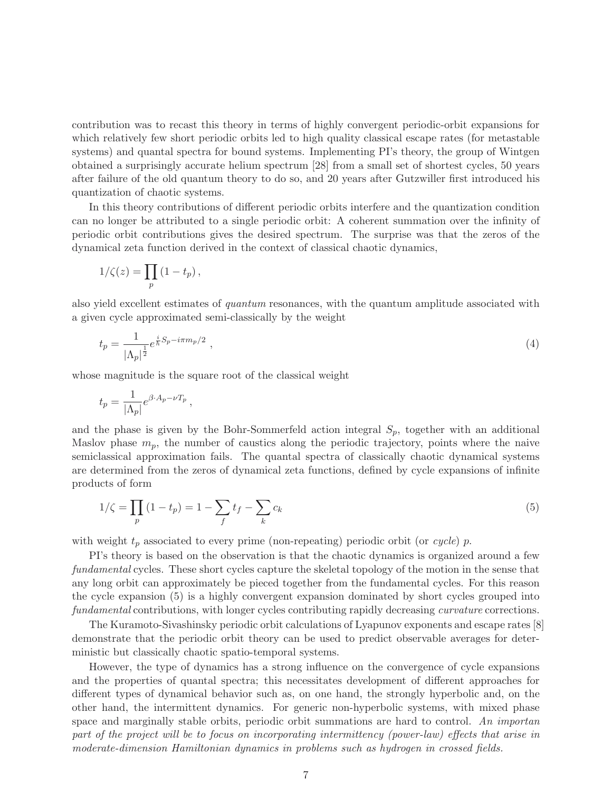contribution was to recast this theory in terms of highly convergent periodic-orbit expansions for which relatively few short periodic orbits led to high quality classical escape rates (for metastable systems) and quantal spectra for bound systems. Implementing PI's theory, the group of Wintgen obtained a surprisingly accurate helium spectrum [28] from a small set of shortest cycles, 50 years after failure of the old quantum theory to do so, and 20 years after Gutzwiller first introduced his quantization of chaotic systems.

In this theory contributions of different periodic orbits interfere and the quantization condition can no longer be attributed to a single periodic orbit: A coherent summation over the infinity of periodic orbit contributions gives the desired spectrum. The surprise was that the zeros of the dynamical zeta function derived in the context of classical chaotic dynamics,

$$
1/\zeta(z) = \prod_p (1 - t_p),
$$

also yield excellent estimates of *quantum* resonances, with the quantum amplitude associated with a given cycle approximated semi-classically by the weight

$$
t_p = \frac{1}{|\Lambda_p|^{\frac{1}{2}}} e^{\frac{i}{\hbar}S_p - i\pi m_p/2} \tag{4}
$$

whose magnitude is the square root of the classical weight

$$
t_p = \frac{1}{|\Lambda_p|} e^{\beta \cdot A_p - \nu T_p},
$$

and the phase is given by the Bohr-Sommerfeld action integral  $S_p$ , together with an additional Maslov phase  $m_p$ , the number of caustics along the periodic trajectory, points where the naive semiclassical approximation fails. The quantal spectra of classically chaotic dynamical systems are determined from the zeros of dynamical zeta functions, defined by cycle expansions of infinite products of form

$$
1/\zeta = \prod_p (1 - t_p) = 1 - \sum_f t_f - \sum_k c_k \tag{5}
$$

with weight  $t_p$  associated to every prime (non-repeating) periodic orbit (or *cycle*) p.

PI's theory is based on the observation is that the chaotic dynamics is organized around a few *fundamental* cycles. These short cycles capture the skeletal topology of the motion in the sense that any long orbit can approximately be pieced together from the fundamental cycles. For this reason the cycle expansion (5) is a highly convergent expansion dominated by short cycles grouped into *fundamental* contributions, with longer cycles contributing rapidly decreasing *curvature* corrections.

The Kuramoto-Sivashinsky periodic orbit calculations of Lyapunov exponents and escape rates [8] demonstrate that the periodic orbit theory can be used to predict observable averages for deterministic but classically chaotic spatio-temporal systems.

However, the type of dynamics has a strong influence on the convergence of cycle expansions and the properties of quantal spectra; this necessitates development of different approaches for different types of dynamical behavior such as, on one hand, the strongly hyperbolic and, on the other hand, the intermittent dynamics. For generic non-hyperbolic systems, with mixed phase space and marginally stable orbits, periodic orbit summations are hard to control. *An importan part of the project will be to focus on incorporating intermittency (power-law) effects that arise in moderate-dimension Hamiltonian dynamics in problems such as hydrogen in crossed fields.*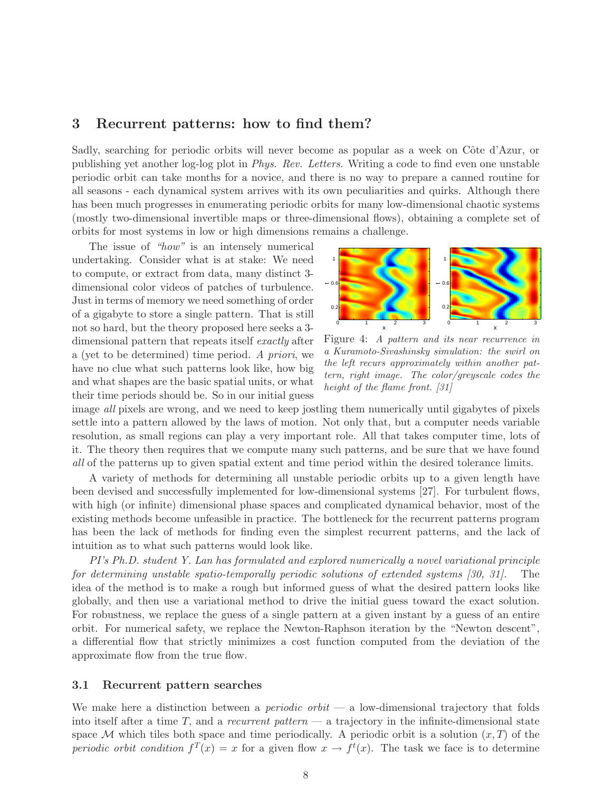### **3 Recurrent patterns: how to find them?**

Sadly, searching for periodic orbits will never become as popular as a week on Côte d'Azur, or publishing yet another log-log plot in *Phys. Rev. Letters*. Writing a code to find even one unstable periodic orbit can take months for a novice, and there is no way to prepare a canned routine for all seasons - each dynamical system arrives with its own peculiarities and quirks. Although there has been much progresses in enumerating periodic orbits for many low-dimensional chaotic systems (mostly two-dimensional invertible maps or three-dimensional flows), obtaining a complete set of orbits for most systems in low or high dimensions remains a challenge.

The issue of *"how"* is an intensely numerical undertaking. Consider what is at stake: We need to compute, or extract from data, many distinct 3 dimensional color videos of patches of turbulence. Just in terms of memory we need something of order of a gigabyte to store a single pattern. That is still not so hard, but the theory proposed here seeks a 3 dimensional pattern that repeats itself *exactly* after a (yet to be determined) time period. *A priori*, we have no clue what such patterns look like, how big and what shapes are the basic spatial units, or what their time periods should be. So in our initial guess



Figure 4: *A pattern and its near recurrence in a Kuramoto-Sivashinsky simulation: the swirl on the left recurs approximately within another pattern, right image. The color/greyscale codes the height of the flame front. [31]*

image *all* pixels are wrong, and we need to keep jostling them numerically until gigabytes of pixels settle into a pattern allowed by the laws of motion. Not only that, but a computer needs variable resolution, as small regions can play a very important role. All that takes computer time, lots of it. The theory then requires that we compute many such patterns, and be sure that we have found *all* of the patterns up to given spatial extent and time period within the desired tolerance limits.

A variety of methods for determining all unstable periodic orbits up to a given length have been devised and successfully implemented for low-dimensional systems [27]. For turbulent flows, with high (or infinite) dimensional phase spaces and complicated dynamical behavior, most of the existing methods become unfeasible in practice. The bottleneck for the recurrent patterns program has been the lack of methods for finding even the simplest recurrent patterns, and the lack of intuition as to what such patterns would look like.

*PI's Ph.D. student Y. Lan has formulated and explored numerically a novel variational principle for determining unstable spatio-temporally periodic solutions of extended systems [30, 31].* The idea of the method is to make a rough but informed guess of what the desired pattern looks like globally, and then use a variational method to drive the initial guess toward the exact solution. For robustness, we replace the guess of a single pattern at a given instant by a guess of an entire orbit. For numerical safety, we replace the Newton-Raphson iteration by the "Newton descent", a differential flow that strictly minimizes a cost function computed from the deviation of the approximate flow from the true flow.

#### **3.1 Recurrent pattern searches**

We make here a distinction between a *periodic orbit* — a low-dimensional trajectory that folds into itself after a time T, and a *recurrent pattern* — a trajectory in the infinite-dimensional state space M which tiles both space and time periodically. A periodic orbit is a solution  $(x, T)$  of the *periodic orbit condition*  $f^T(x) = x$  for a given flow  $x \to f^t(x)$ . The task we face is to determine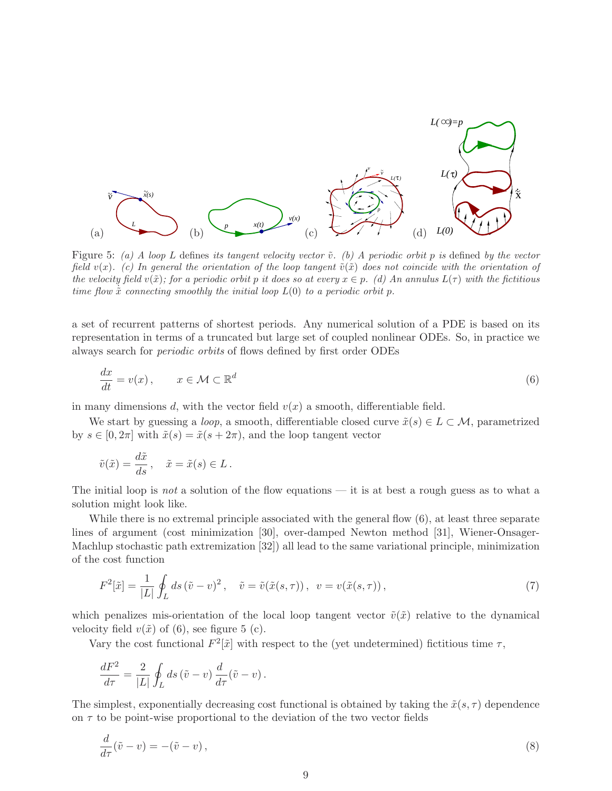

Figure 5: *(a) A loop* L defines *its tangent velocity vector*  $\tilde{v}$ *. (b) A periodic orbit* p *is* defined *by the vector field*  $v(x)$ *. (c)* In general the orientation of the loop tangent  $\tilde{v}(\tilde{x})$  does not coincide with the orientation of *the velocity field*  $v(\tilde{x})$ *; for a periodic orbit p it does so at every*  $x \in p$ *. (d) An annulus*  $L(\tau)$  *with the fictitious time flow*  $\tilde{x}$  *connecting smoothly the initial loop*  $L(0)$  *to a periodic orbit* p.

a set of recurrent patterns of shortest periods. Any numerical solution of a PDE is based on its representation in terms of a truncated but large set of coupled nonlinear ODEs. So, in practice we always search for *periodic orbits* of flows defined by first order ODEs

$$
\frac{dx}{dt} = v(x), \qquad x \in \mathcal{M} \subset \mathbb{R}^d \tag{6}
$$

in many dimensions d, with the vector field  $v(x)$  a smooth, differentiable field.

We start by guessing a *loop*, a smooth, differentiable closed curve  $\tilde{x}(s) \in L \subset \mathcal{M}$ , parametrized by  $s \in [0, 2\pi]$  with  $\tilde{x}(s) = \tilde{x}(s + 2\pi)$ , and the loop tangent vector

$$
\tilde{v}(\tilde{x}) = \frac{d\tilde{x}}{ds}, \quad \tilde{x} = \tilde{x}(s) \in L.
$$

The initial loop is *not* a solution of the flow equations — it is at best a rough guess as to what a solution might look like.

While there is no extremal principle associated with the general flow  $(6)$ , at least three separate lines of argument (cost minimization [30], over-damped Newton method [31], Wiener-Onsager-Machlup stochastic path extremization [32]) all lead to the same variational principle, minimization of the cost function

$$
F^{2}[\tilde{x}] = \frac{1}{|L|} \oint_{L} ds \left(\tilde{v} - v\right)^{2}, \quad \tilde{v} = \tilde{v}(\tilde{x}(s, \tau)), \quad v = v(\tilde{x}(s, \tau)), \tag{7}
$$

which penalizes mis-orientation of the local loop tangent vector  $\tilde{v}(\tilde{x})$  relative to the dynamical velocity field  $v(\tilde{x})$  of (6), see figure 5 (c).

Vary the cost functional  $F^2[\tilde{x}]$  with respect to the (yet undetermined) fictitious time  $\tau$ ,

$$
\frac{dF^2}{d\tau} = \frac{2}{|L|} \oint_L ds \left(\tilde{v} - v\right) \frac{d}{d\tau} \left(\tilde{v} - v\right).
$$

The simplest, exponentially decreasing cost functional is obtained by taking the  $\tilde{x}(s, \tau)$  dependence on  $\tau$  to be point-wise proportional to the deviation of the two vector fields

$$
\frac{d}{d\tau}(\tilde{v} - v) = -(\tilde{v} - v),\tag{8}
$$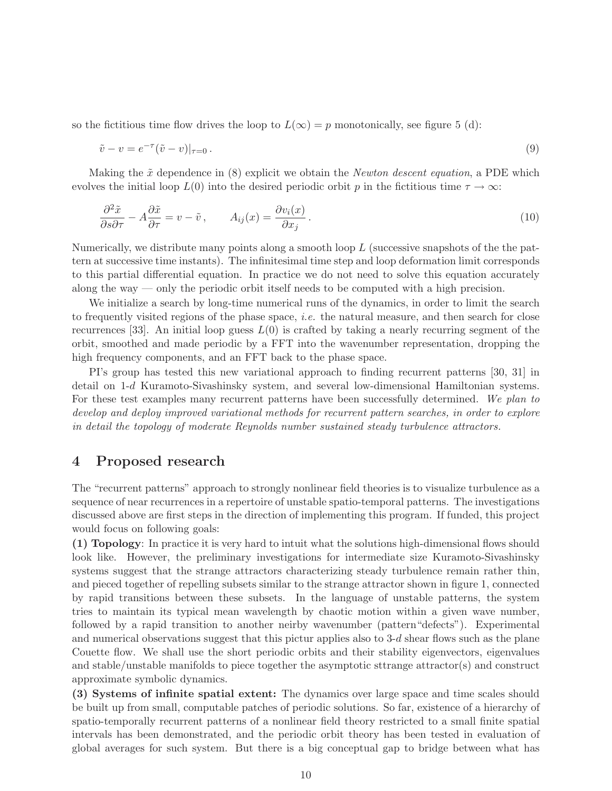so the fictitious time flow drives the loop to  $L(\infty) = p$  monotonically, see figure 5 (d):

$$
\tilde{v} - v = e^{-\tau} (\tilde{v} - v)|_{\tau = 0}.
$$
\n
$$
(9)
$$

Making the  $\tilde{x}$  dependence in (8) explicit we obtain the *Newton descent equation*, a PDE which evolves the initial loop  $L(0)$  into the desired periodic orbit p in the fictitious time  $\tau \to \infty$ :

$$
\frac{\partial^2 \tilde{x}}{\partial s \partial \tau} - A \frac{\partial \tilde{x}}{\partial \tau} = v - \tilde{v}, \qquad A_{ij}(x) = \frac{\partial v_i(x)}{\partial x_j}.
$$
\n(10)

Numerically, we distribute many points along a smooth loop L (successive snapshots of the the pattern at successive time instants). The infinitesimal time step and loop deformation limit corresponds to this partial differential equation. In practice we do not need to solve this equation accurately along the way — only the periodic orbit itself needs to be computed with a high precision.

We initialize a search by long-time numerical runs of the dynamics, in order to limit the search to frequently visited regions of the phase space, *i.e.* the natural measure, and then search for close recurrences [33]. An initial loop guess  $L(0)$  is crafted by taking a nearly recurring segment of the orbit, smoothed and made periodic by a FFT into the wavenumber representation, dropping the high frequency components, and an FFT back to the phase space.

PI's group has tested this new variational approach to finding recurrent patterns [30, 31] in detail on 1-d Kuramoto-Sivashinsky system, and several low-dimensional Hamiltonian systems. For these test examples many recurrent patterns have been successfully determined. *We plan to develop and deploy improved variational methods for recurrent pattern searches, in order to explore in detail the topology of moderate Reynolds number sustained steady turbulence attractors.*

# **4 Proposed research**

The "recurrent patterns" approach to strongly nonlinear field theories is to visualize turbulence as a sequence of near recurrences in a repertoire of unstable spatio-temporal patterns. The investigations discussed above are first steps in the direction of implementing this program. If funded, this project would focus on following goals:

**(1) Topology**: In practice it is very hard to intuit what the solutions high-dimensional flows should look like. However, the preliminary investigations for intermediate size Kuramoto-Sivashinsky systems suggest that the strange attractors characterizing steady turbulence remain rather thin, and pieced together of repelling subsets similar to the strange attractor shown in figure 1, connected by rapid transitions between these subsets. In the language of unstable patterns, the system tries to maintain its typical mean wavelength by chaotic motion within a given wave number, followed by a rapid transition to another neirby wavenumber (pattern"defects"). Experimental and numerical observations suggest that this pictur applies also to  $3-d$  shear flows such as the plane Couette flow. We shall use the short periodic orbits and their stability eigenvectors, eigenvalues and stable/unstable manifolds to piece together the asymptotic sttrange attractor(s) and construct approximate symbolic dynamics.

**(3) Systems of infinite spatial extent:** The dynamics over large space and time scales should be built up from small, computable patches of periodic solutions. So far, existence of a hierarchy of spatio-temporally recurrent patterns of a nonlinear field theory restricted to a small finite spatial intervals has been demonstrated, and the periodic orbit theory has been tested in evaluation of global averages for such system. But there is a big conceptual gap to bridge between what has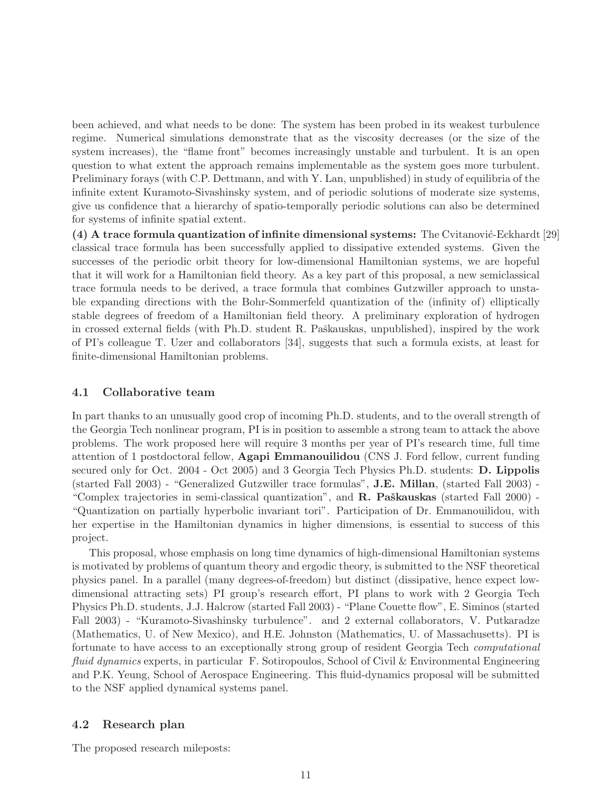been achieved, and what needs to be done: The system has been probed in its weakest turbulence regime. Numerical simulations demonstrate that as the viscosity decreases (or the size of the system increases), the "flame front" becomes increasingly unstable and turbulent. It is an open question to what extent the approach remains implementable as the system goes more turbulent. Preliminary forays (with C.P. Dettmann, and with Y. Lan, unpublished) in study of equilibria of the infinite extent Kuramoto-Sivashinsky system, and of periodic solutions of moderate size systems, give us confidence that a hierarchy of spatio-temporally periodic solutions can also be determined for systems of infinite spatial extent.

**(4) A trace formula quantization of infinite dimensional systems:** The Cvitanović-Eckhardt [29] classical trace formula has been successfully applied to dissipative extended systems. Given the successes of the periodic orbit theory for low-dimensional Hamiltonian systems, we are hopeful that it will work for a Hamiltonian field theory. As a key part of this proposal, a new semiclassical trace formula needs to be derived, a trace formula that combines Gutzwiller approach to unstable expanding directions with the Bohr-Sommerfeld quantization of the (infinity of) elliptically stable degrees of freedom of a Hamiltonian field theory. A preliminary exploration of hydrogen in crossed external fields (with Ph.D. student R. Paškauskas, unpublished), inspired by the work of PI's colleague T. Uzer and collaborators [34], suggests that such a formula exists, at least for finite-dimensional Hamiltonian problems.

### **4.1 Collaborative team**

In part thanks to an unusually good crop of incoming Ph.D. students, and to the overall strength of the Georgia Tech nonlinear program, PI is in position to assemble a strong team to attack the above problems. The work proposed here will require 3 months per year of PI's research time, full time attention of 1 postdoctoral fellow, **Agapi Emmanouilidou** (CNS J. Ford fellow, current funding secured only for Oct. 2004 - Oct 2005) and 3 Georgia Tech Physics Ph.D. students: **D. Lippolis** (started Fall 2003) - "Generalized Gutzwiller trace formulas", **J.E. Millan**, (started Fall 2003) - "Complex trajectories in semi-classical quantization", and **R. Paškauskas** (started Fall 2000) -"Quantization on partially hyperbolic invariant tori". Participation of Dr. Emmanouilidou, with her expertise in the Hamiltonian dynamics in higher dimensions, is essential to success of this project.

This proposal, whose emphasis on long time dynamics of high-dimensional Hamiltonian systems is motivated by problems of quantum theory and ergodic theory, is submitted to the NSF theoretical physics panel. In a parallel (many degrees-of-freedom) but distinct (dissipative, hence expect lowdimensional attracting sets) PI group's research effort, PI plans to work with 2 Georgia Tech Physics Ph.D. students, J.J. Halcrow (started Fall 2003) - "Plane Couette flow", E. Siminos (started Fall 2003) - "Kuramoto-Sivashinsky turbulence". and 2 external collaborators, V. Putkaradze (Mathematics, U. of New Mexico), and H.E. Johnston (Mathematics, U. of Massachusetts). PI is fortunate to have access to an exceptionally strong group of resident Georgia Tech *computational fluid dynamics* experts, in particular F. Sotiropoulos, School of Civil & Environmental Engineering and P.K. Yeung, School of Aerospace Engineering. This fluid-dynamics proposal will be submitted to the NSF applied dynamical systems panel.

# **4.2 Research plan**

The proposed research mileposts: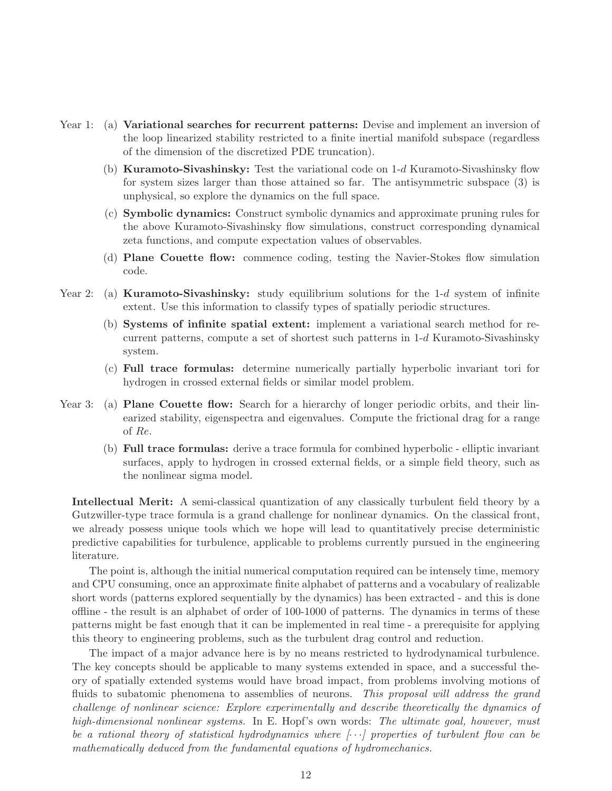- Year 1: (a) **Variational searches for recurrent patterns:** Devise and implement an inversion of the loop linearized stability restricted to a finite inertial manifold subspace (regardless of the dimension of the discretized PDE truncation).
	- (b) **Kuramoto-Sivashinsky:** Test the variational code on 1-d Kuramoto-Sivashinsky flow for system sizes larger than those attained so far. The antisymmetric subspace (3) is unphysical, so explore the dynamics on the full space.
	- (c) **Symbolic dynamics:** Construct symbolic dynamics and approximate pruning rules for the above Kuramoto-Sivashinsky flow simulations, construct corresponding dynamical zeta functions, and compute expectation values of observables.
	- (d) **Plane Couette flow:** commence coding, testing the Navier-Stokes flow simulation code.
- Year 2: (a) **Kuramoto-Sivashinsky:** study equilibrium solutions for the 1-d system of infinite extent. Use this information to classify types of spatially periodic structures.
	- (b) **Systems of infinite spatial extent:** implement a variational search method for recurrent patterns, compute a set of shortest such patterns in  $1-d$  Kuramoto-Sivashinsky system.
	- (c) **Full trace formulas:** determine numerically partially hyperbolic invariant tori for hydrogen in crossed external fields or similar model problem.
- Year 3: (a) **Plane Couette flow:** Search for a hierarchy of longer periodic orbits, and their linearized stability, eigenspectra and eigenvalues. Compute the frictional drag for a range of Re.
	- (b) **Full trace formulas:** derive a trace formula for combined hyperbolic elliptic invariant surfaces, apply to hydrogen in crossed external fields, or a simple field theory, such as the nonlinear sigma model.

**Intellectual Merit:** A semi-classical quantization of any classically turbulent field theory by a Gutzwiller-type trace formula is a grand challenge for nonlinear dynamics. On the classical front, we already possess unique tools which we hope will lead to quantitatively precise deterministic predictive capabilities for turbulence, applicable to problems currently pursued in the engineering literature.

The point is, although the initial numerical computation required can be intensely time, memory and CPU consuming, once an approximate finite alphabet of patterns and a vocabulary of realizable short words (patterns explored sequentially by the dynamics) has been extracted - and this is done offline - the result is an alphabet of order of 100-1000 of patterns. The dynamics in terms of these patterns might be fast enough that it can be implemented in real time - a prerequisite for applying this theory to engineering problems, such as the turbulent drag control and reduction.

The impact of a major advance here is by no means restricted to hydrodynamical turbulence. The key concepts should be applicable to many systems extended in space, and a successful theory of spatially extended systems would have broad impact, from problems involving motions of fluids to subatomic phenomena to assemblies of neurons. *This proposal will address the grand challenge of nonlinear science: Explore experimentally and describe theoretically the dynamics of high-dimensional nonlinear systems.* In E. Hopf's own words: *The ultimate goal, however, must be a rational theory of statistical hydrodynamics where [*···*] properties of turbulent flow can be mathematically deduced from the fundamental equations of hydromechanics.*